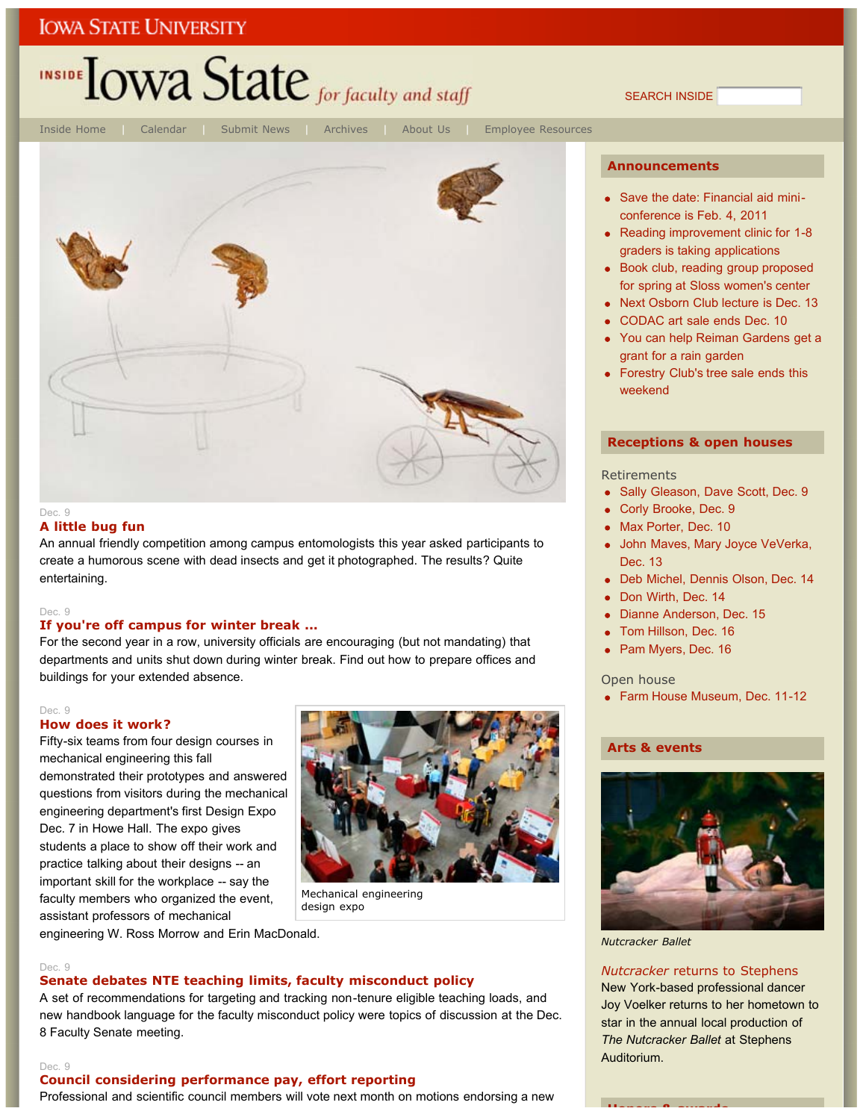## INSIDE LOWA State for faculty and staff

SEARCH INSIDE

Inside Home | Calendar | Submit News | Archives | About Us | Employee Resources



#### Dec. 9

#### **A little bug fun**

An annual friendly competition among campus entomologists this year asked participants to create a humorous scene with dead insects and get it photographed. The results? Quite entertaining.

#### Dec. 9

#### **If you're off campus for winter break ...**

For the second year in a row, university officials are encouraging (but not mandating) that departments and units shut down during winter break. Find out how to prepare offices and buildings for your extended absence.

#### Dec. 9

#### **How does it work?**

Fifty-six teams from four design courses in mechanical engineering this fall demonstrated their prototypes and answered questions from visitors during the mechanical engineering department's first Design Expo Dec. 7 in Howe Hall. The expo gives students a place to show off their work and practice talking about their designs -- an important skill for the workplace -- say the faculty members who organized the event, assistant professors of mechanical



Mechanical engineering design expo

engineering W. Ross Morrow and Erin MacDonald.

#### Dec. 9

#### **Senate debates NTE teaching limits, faculty misconduct policy**

A set of recommendations for targeting and tracking non-tenure eligible teaching loads, and new handbook language for the faculty misconduct policy were topics of discussion at the Dec. 8 Faculty Senate meeting.

#### Dec. 9

#### **Council considering performance pay, effort reporting**

Professional and scientific council members will vote next month on motions endorsing a new

#### **Announcements**

- Save the date: Financial aid miniconference is Feb. 4, 2011
- Reading improvement clinic for 1-8 graders is taking applications
- Book club, reading group proposed for spring at Sloss women's center
- Next Osborn Club lecture is Dec. 13
- CODAC art sale ends Dec. 10
- You can help Reiman Gardens get a grant for a rain garden
- Forestry Club's tree sale ends this weekend

#### **Receptions & open houses**

#### **Retirements**

- Sally Gleason, Dave Scott, Dec. 9
- Corly Brooke, Dec. 9
- Max Porter, Dec. 10
- John Maves, Mary Joyce VeVerka, Dec. 13
- Deb Michel, Dennis Olson, Dec. 14
- Don Wirth, Dec. 14
- Dianne Anderson, Dec. 15
- Tom Hillson, Dec. 16
- Pam Myers, Dec. 16

#### Open house

• Farm House Museum, Dec. 11-12

#### **Arts & events**



*Nutcracker Ballet*

**Honors & awards**

#### *Nutcracker* returns to Stephens

New York-based professional dancer Joy Voelker returns to her hometown to star in the annual local production of *The Nutcracker Ballet* at Stephens Auditorium.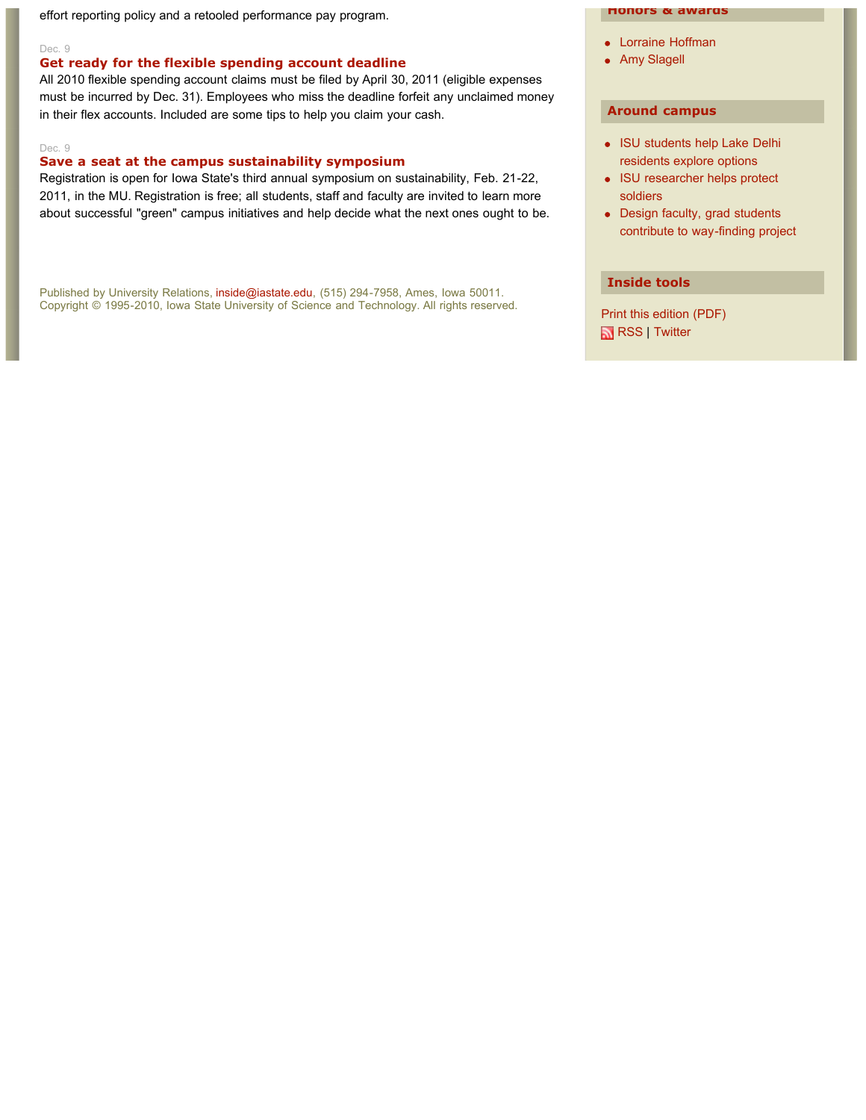effort reporting policy and a retooled performance pay program.

#### Dec. 9

#### **Get ready for the flexible spending account deadline**

All 2010 flexible spending account claims must be filed by April 30, 2011 (eligible expenses must be incurred by Dec. 31). Employees who miss the deadline forfeit any unclaimed money in their flex accounts. Included are some tips to help you claim your cash.

#### Dec. 9

#### **Save a seat at the campus sustainability symposium**

Registration is open for Iowa State's third annual symposium on sustainability, Feb. 21-22, 2011, in the MU. Registration is free; all students, staff and faculty are invited to learn more about successful "green" campus initiatives and help decide what the next ones ought to be.

Published by University Relations, inside@iastate.edu, (515) 294-7958, Ames, Iowa 50011. Copyright © 1995-2010, Iowa State University of Science and Technology. All rights reserved.

#### **Honors & awards**

- Lorraine Hoffman
- Amy Slagell

#### **Around campus**

- ISU students help Lake Delhi residents explore options
- ISU researcher helps protect soldiers
- Design faculty, grad students contribute to way-finding project

#### **Inside tools**

Print this edition (PDF) RSS | Twitter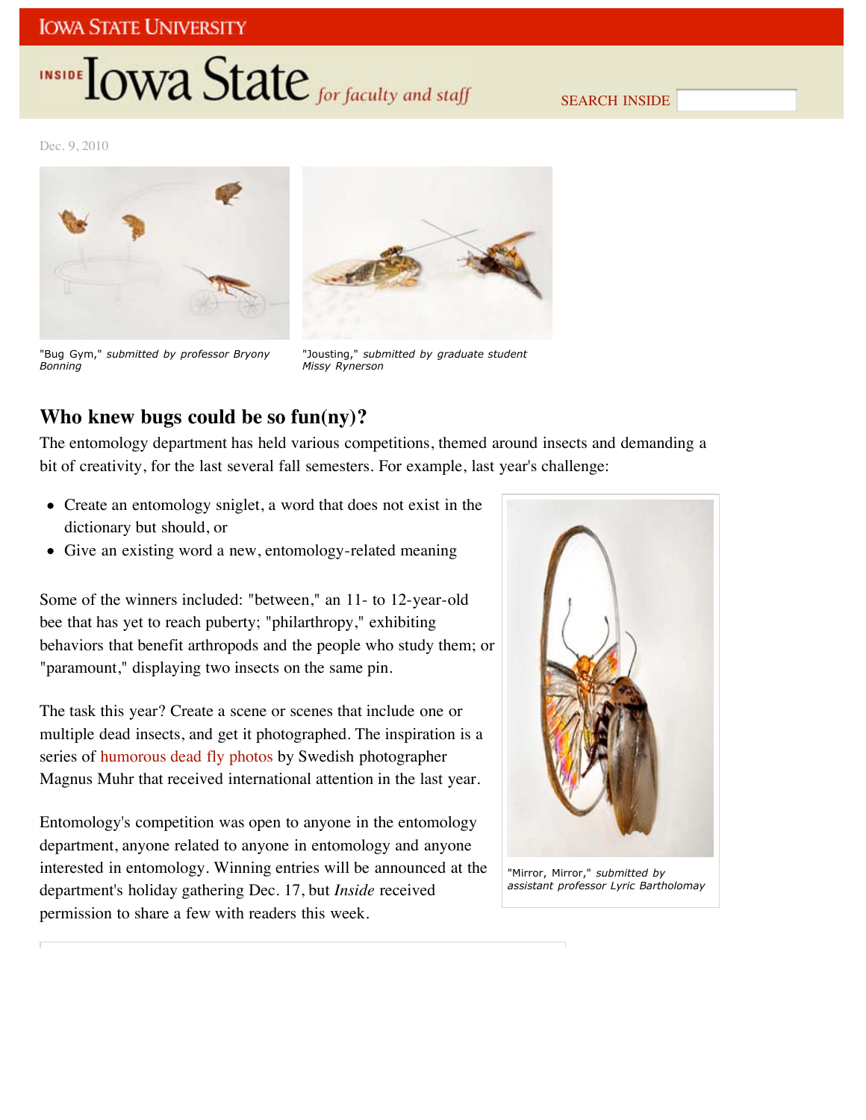## INSIDE **IOWA State** for faculty and staff

SEARCH INSIDE

Dec. 9, 2010





"Bug Gym," *submitted by professor Bryony Bonning*

"Jousting," *submitted by graduate student Missy Rynerson*

## **Who knew bugs could be so fun(ny)?**

The entomology department has held various competitions, themed around insects and demanding a bit of creativity, for the last several fall semesters. For example, last year's challenge:

- Create an entomology sniglet, a word that does not exist in the dictionary but should, or
- Give an existing word a new, entomology-related meaning

Some of the winners included: "between," an 11- to 12-year-old bee that has yet to reach puberty; "philarthropy," exhibiting behaviors that benefit arthropods and the people who study them; or "paramount," displaying two insects on the same pin.

The task this year? Create a scene or scenes that include one or multiple dead insects, and get it photographed. The inspiration is a series of humorous dead fly photos by Swedish photographer Magnus Muhr that received international attention in the last year.

Entomology's competition was open to anyone in the entomology department, anyone related to anyone in entomology and anyone interested in entomology. Winning entries will be announced at the department's holiday gathering Dec. 17, but *Inside* received permission to share a few with readers this week.



"Mirror, Mirror," *submitted by assistant professor Lyric Bartholomay*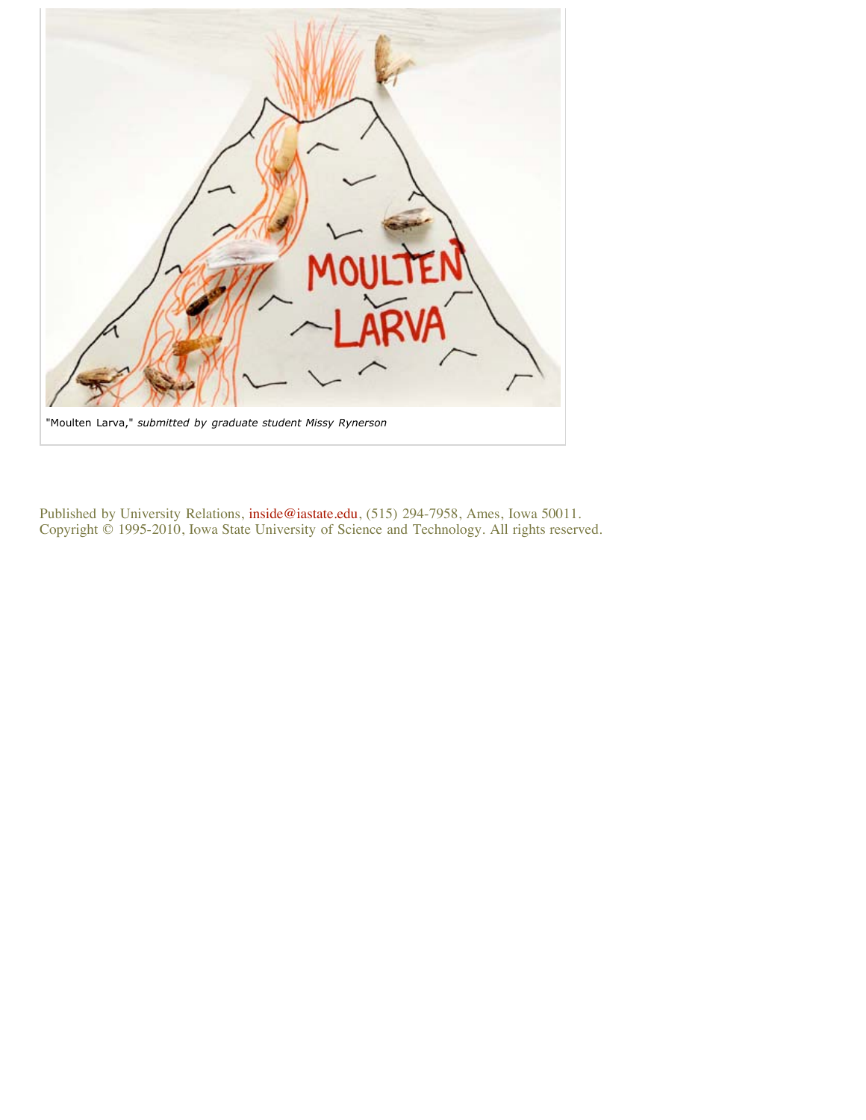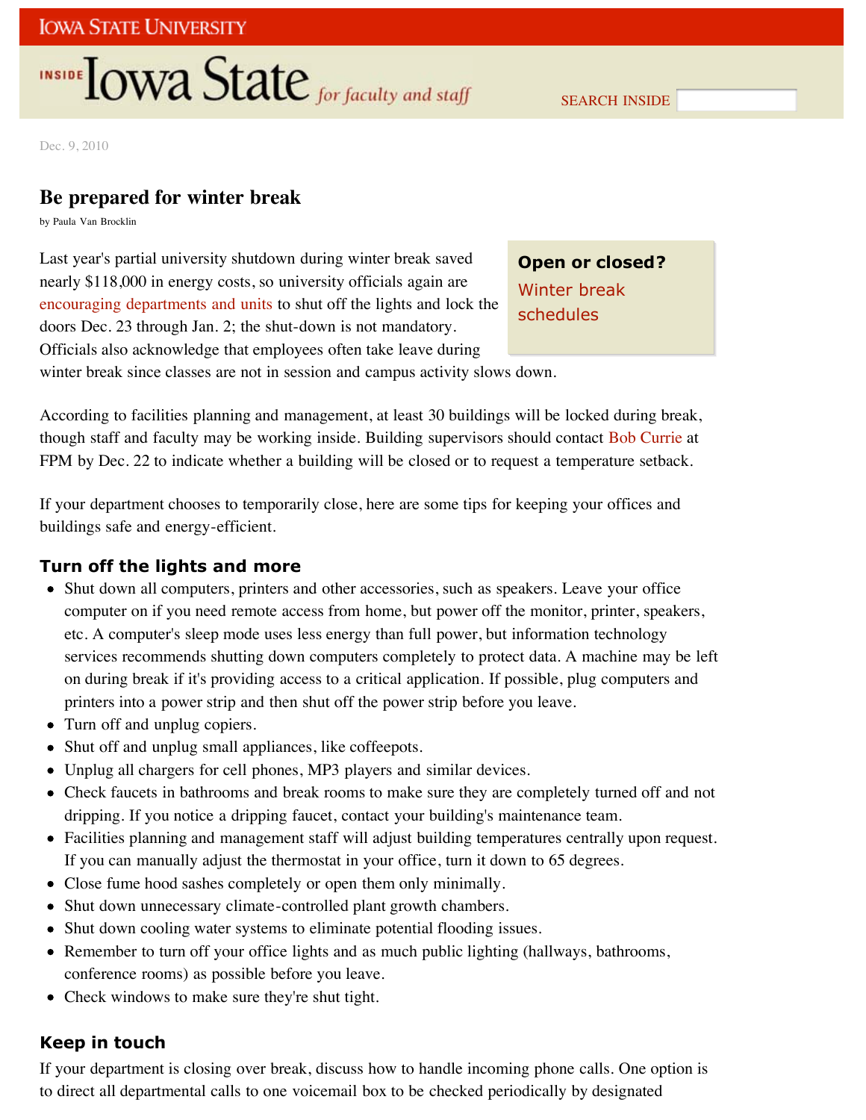## **INSIDE TOWA State** for faculty and staff

SEARCH INSIDE

Dec. 9, 2010

## **Be prepared for winter break**

by Paula Van Brocklin

Last year's partial university shutdown during winter break saved nearly \$118,000 in energy costs, so university officials again are encouraging departments and units to shut off the lights and lock the doors Dec. 23 through Jan. 2; the shut-down is not mandatory. Officials also acknowledge that employees often take leave during

**Open or closed?** Winter break schedules

winter break since classes are not in session and campus activity slows down.

According to facilities planning and management, at least 30 buildings will be locked during break, though staff and faculty may be working inside. Building supervisors should contact Bob Currie at FPM by Dec. 22 to indicate whether a building will be closed or to request a temperature setback.

If your department chooses to temporarily close, here are some tips for keeping your offices and buildings safe and energy-efficient.

## **Turn off the lights and more**

- Shut down all computers, printers and other accessories, such as speakers. Leave your office computer on if you need remote access from home, but power off the monitor, printer, speakers, etc. A computer's sleep mode uses less energy than full power, but information technology services recommends shutting down computers completely to protect data. A machine may be left on during break if it's providing access to a critical application. If possible, plug computers and printers into a power strip and then shut off the power strip before you leave.
- Turn off and unplug copiers.
- Shut off and unplug small appliances, like coffeepots.
- Unplug all chargers for cell phones, MP3 players and similar devices.
- Check faucets in bathrooms and break rooms to make sure they are completely turned off and not dripping. If you notice a dripping faucet, contact your building's maintenance team.
- Facilities planning and management staff will adjust building temperatures centrally upon request. If you can manually adjust the thermostat in your office, turn it down to 65 degrees.
- Close fume hood sashes completely or open them only minimally.
- Shut down unnecessary climate-controlled plant growth chambers.
- Shut down cooling water systems to eliminate potential flooding issues.
- Remember to turn off your office lights and as much public lighting (hallways, bathrooms, conference rooms) as possible before you leave.
- Check windows to make sure they're shut tight.

## **Keep in touch**

If your department is closing over break, discuss how to handle incoming phone calls. One option is to direct all departmental calls to one voicemail box to be checked periodically by designated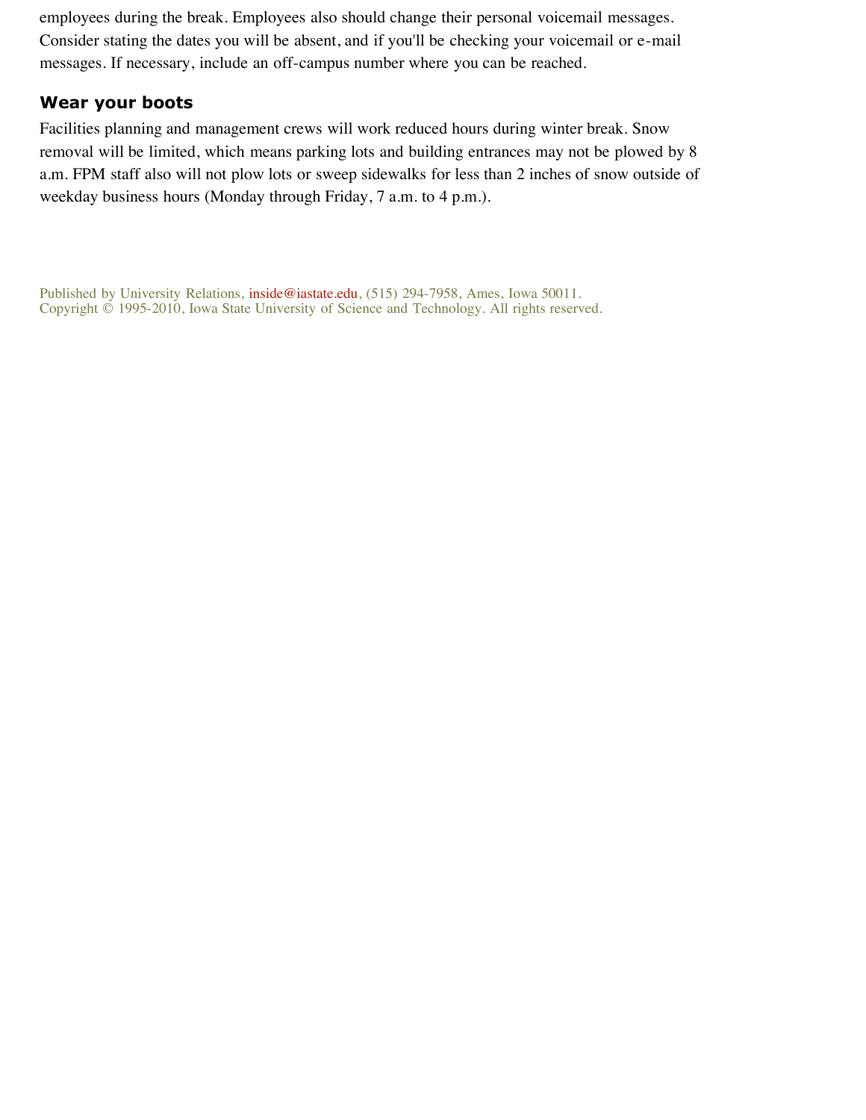employees during the break. Employees also should change their personal voicemail messages. Consider stating the dates you will be absent, and if you'll be checking your voicemail or e-mail messages. If necessary, include an off-campus number where you can be reached.

### **Wear your boots**

Facilities planning and management crews will work reduced hours during winter break. Snow removal will be limited, which means parking lots and building entrances may not be plowed by 8 a.m. FPM staff also will not plow lots or sweep sidewalks for less than 2 inches of snow outside of weekday business hours (Monday through Friday, 7 a.m. to 4 p.m.).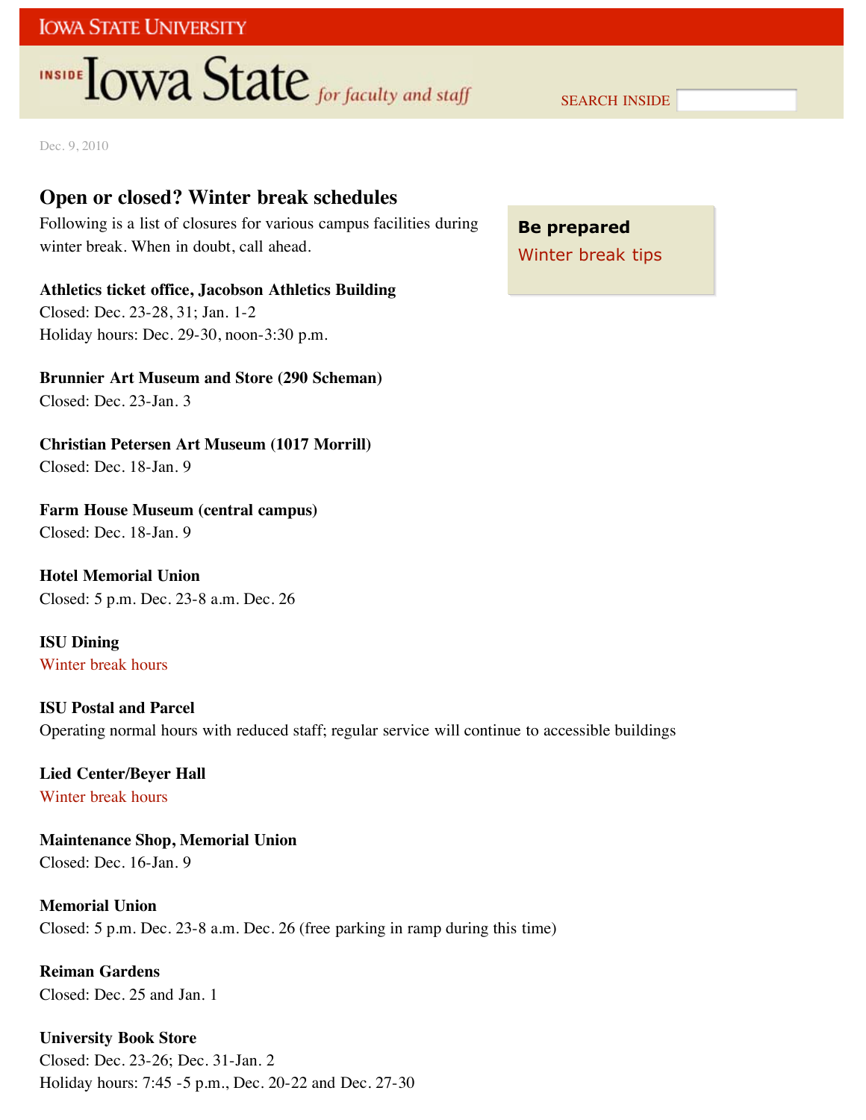# **INSIDE TOWA State** for faculty and staff

Dec. 9, 2010

## **Open or closed? Winter break schedules**

Following is a list of closures for various campus facilities during winter break. When in doubt, call ahead.

## **Athletics ticket office, Jacobson Athletics Building**

Closed: Dec. 23-28, 31; Jan. 1-2 Holiday hours: Dec. 29-30, noon-3:30 p.m.

**Brunnier Art Museum and Store (290 Scheman)** 

Closed: Dec. 23-Jan. 3

**Christian Petersen Art Museum (1017 Morrill)**  Closed: Dec. 18-Jan. 9

**Farm House Museum (central campus)**  Closed: Dec. 18-Jan. 9

**Hotel Memorial Union** Closed: 5 p.m. Dec. 23-8 a.m. Dec. 26

**ISU Dining** Winter break hours

**ISU Postal and Parcel** Operating normal hours with reduced staff; regular service will continue to accessible buildings

**Lied Center/Beyer Hall** Winter break hours

**Maintenance Shop, Memorial Union** Closed: Dec. 16-Jan. 9

**Memorial Union** Closed: 5 p.m. Dec. 23-8 a.m. Dec. 26 (free parking in ramp during this time)

**Reiman Gardens** Closed: Dec. 25 and Jan. 1

**University Book Store** Closed: Dec. 23-26; Dec. 31-Jan. 2 Holiday hours: 7:45 -5 p.m., Dec. 20-22 and Dec. 27-30 SEARCH INSIDE

**Be prepared**

Winter break tips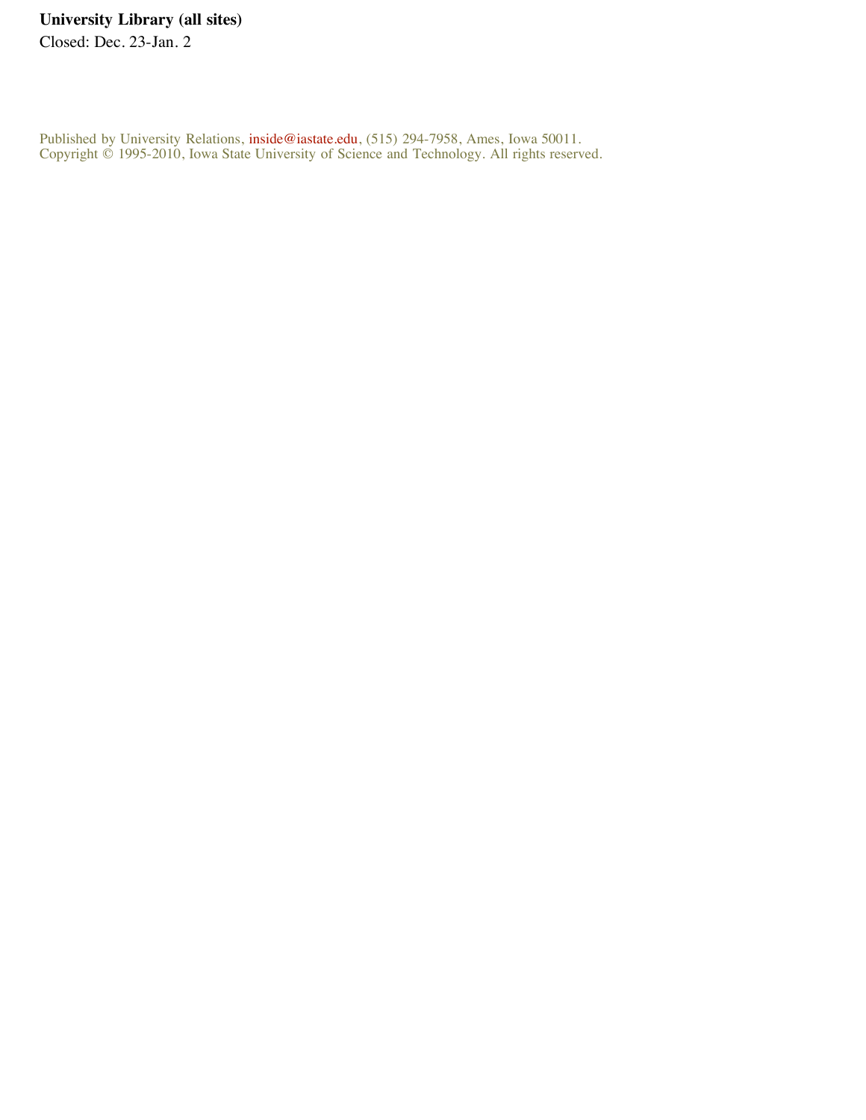## **University Library (all sites)**

Closed: Dec. 23-Jan. 2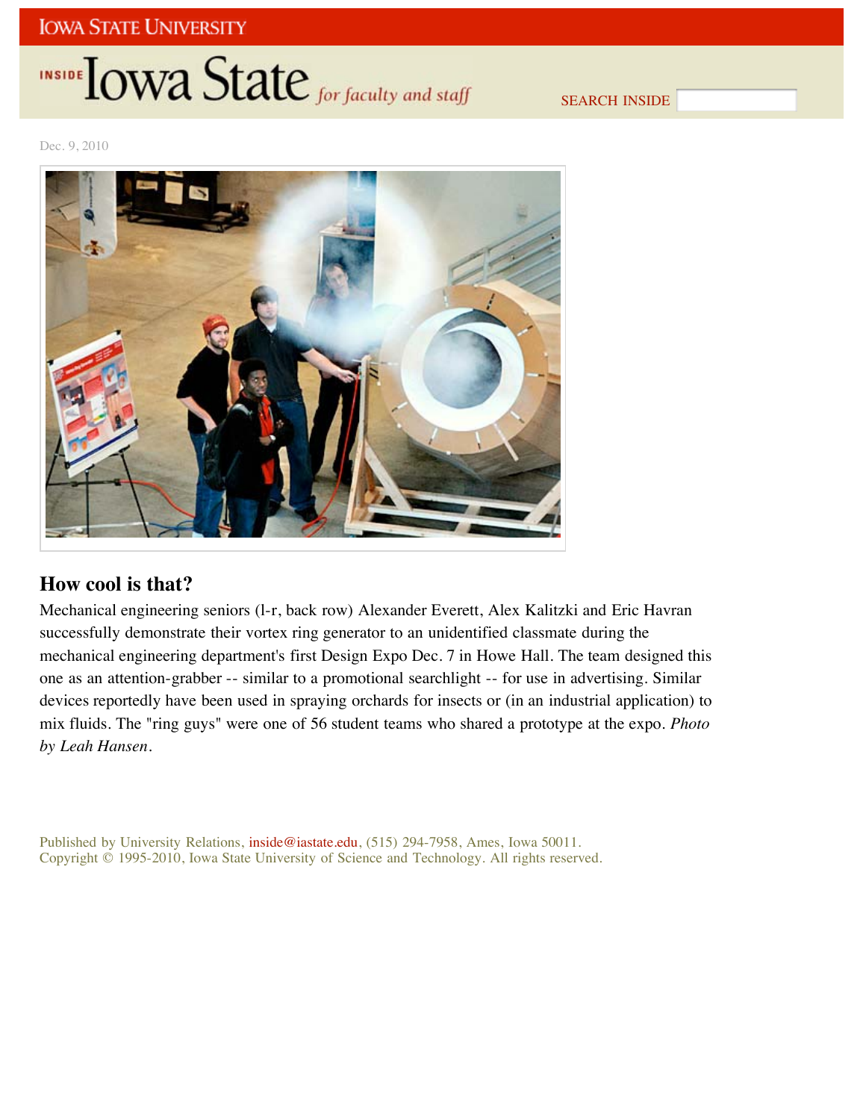## INSIDE **IOWA State** for faculty and staff

SEARCH INSIDE

Dec. 9, 2010



## **How cool is that?**

Mechanical engineering seniors (l-r, back row) Alexander Everett, Alex Kalitzki and Eric Havran successfully demonstrate their vortex ring generator to an unidentified classmate during the mechanical engineering department's first Design Expo Dec. 7 in Howe Hall. The team designed this one as an attention-grabber -- similar to a promotional searchlight -- for use in advertising. Similar devices reportedly have been used in spraying orchards for insects or (in an industrial application) to mix fluids. The "ring guys" were one of 56 student teams who shared a prototype at the expo. *Photo by Leah Hansen*.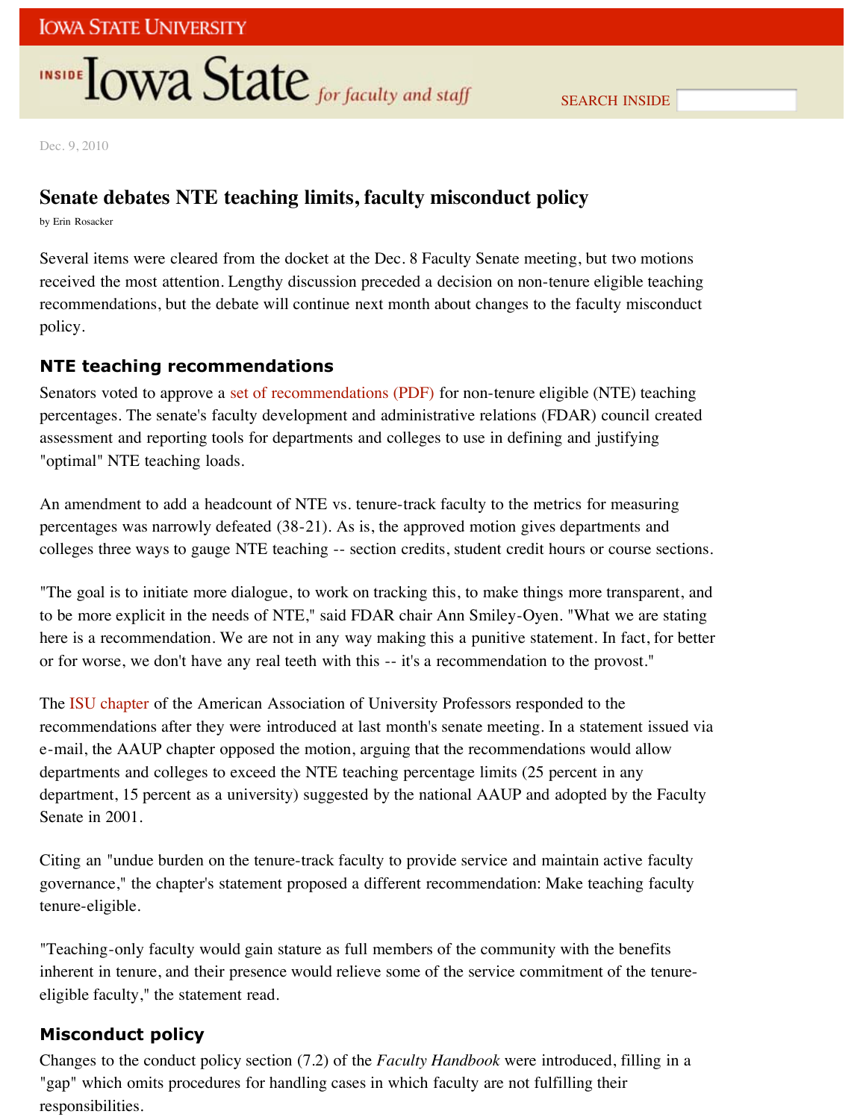# **INSIDE OWA State** for faculty and staff

Dec. 9, 2010

## **Senate debates NTE teaching limits, faculty misconduct policy**

by Erin Rosacker

Several items were cleared from the docket at the Dec. 8 Faculty Senate meeting, but two motions received the most attention. Lengthy discussion preceded a decision on non-tenure eligible teaching recommendations, but the debate will continue next month about changes to the faculty misconduct policy.

### **NTE teaching recommendations**

Senators voted to approve a set of recommendations (PDF) for non-tenure eligible (NTE) teaching percentages. The senate's faculty development and administrative relations (FDAR) council created assessment and reporting tools for departments and colleges to use in defining and justifying "optimal" NTE teaching loads.

An amendment to add a headcount of NTE vs. tenure-track faculty to the metrics for measuring percentages was narrowly defeated (38-21). As is, the approved motion gives departments and colleges three ways to gauge NTE teaching -- section credits, student credit hours or course sections.

"The goal is to initiate more dialogue, to work on tracking this, to make things more transparent, and to be more explicit in the needs of NTE," said FDAR chair Ann Smiley-Oyen. "What we are stating here is a recommendation. We are not in any way making this a punitive statement. In fact, for better or for worse, we don't have any real teeth with this -- it's a recommendation to the provost."

The ISU chapter of the American Association of University Professors responded to the recommendations after they were introduced at last month's senate meeting. In a statement issued via e-mail, the AAUP chapter opposed the motion, arguing that the recommendations would allow departments and colleges to exceed the NTE teaching percentage limits (25 percent in any department, 15 percent as a university) suggested by the national AAUP and adopted by the Faculty Senate in 2001.

Citing an "undue burden on the tenure-track faculty to provide service and maintain active faculty governance," the chapter's statement proposed a different recommendation: Make teaching faculty tenure-eligible.

"Teaching-only faculty would gain stature as full members of the community with the benefits inherent in tenure, and their presence would relieve some of the service commitment of the tenureeligible faculty," the statement read.

## **Misconduct policy**

Changes to the conduct policy section (7.2) of the *Faculty Handbook* were introduced, filling in a "gap" which omits procedures for handling cases in which faculty are not fulfilling their responsibilities.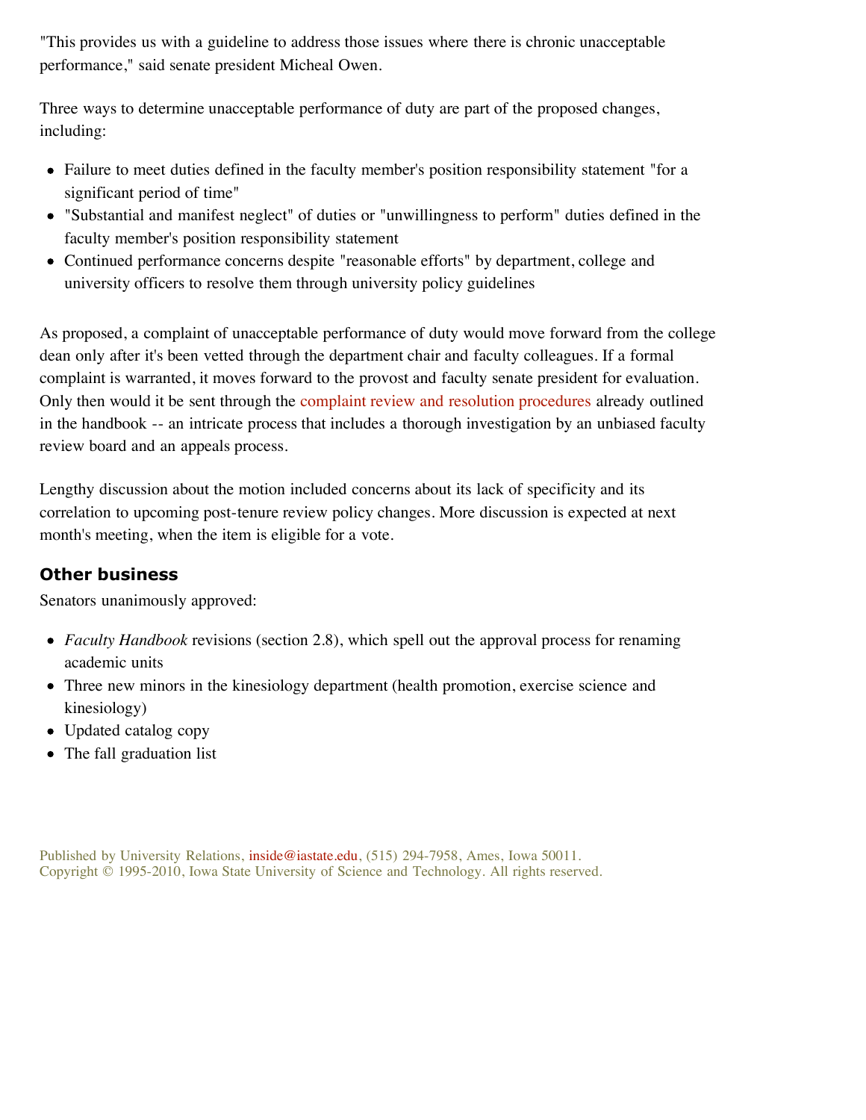"This provides us with a guideline to address those issues where there is chronic unacceptable performance," said senate president Micheal Owen.

Three ways to determine unacceptable performance of duty are part of the proposed changes, including:

- Failure to meet duties defined in the faculty member's position responsibility statement "for a significant period of time"
- "Substantial and manifest neglect" of duties or "unwillingness to perform" duties defined in the faculty member's position responsibility statement
- Continued performance concerns despite "reasonable efforts" by department, college and university officers to resolve them through university policy guidelines

As proposed, a complaint of unacceptable performance of duty would move forward from the college dean only after it's been vetted through the department chair and faculty colleagues. If a formal complaint is warranted, it moves forward to the provost and faculty senate president for evaluation. Only then would it be sent through the complaint review and resolution procedures already outlined in the handbook -- an intricate process that includes a thorough investigation by an unbiased faculty review board and an appeals process.

Lengthy discussion about the motion included concerns about its lack of specificity and its correlation to upcoming post-tenure review policy changes. More discussion is expected at next month's meeting, when the item is eligible for a vote.

## **Other business**

Senators unanimously approved:

- *Faculty Handbook* revisions (section 2.8), which spell out the approval process for renaming academic units
- Three new minors in the kinesiology department (health promotion, exercise science and kinesiology)
- Updated catalog copy
- The fall graduation list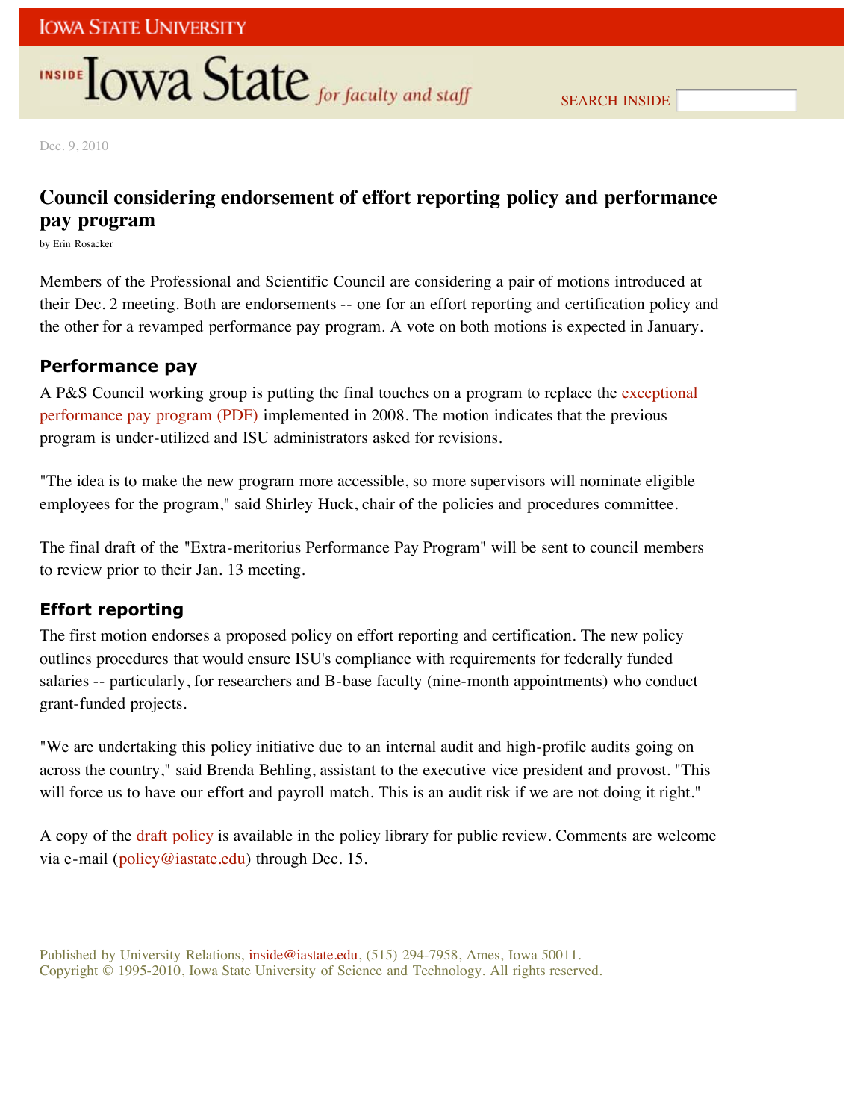# **INSIDE OWA State** for faculty and staff

Dec. 9, 2010

## **Council considering endorsement of effort reporting policy and performance pay program**

by Erin Rosacker

Members of the Professional and Scientific Council are considering a pair of motions introduced at their Dec. 2 meeting. Both are endorsements -- one for an effort reporting and certification policy and the other for a revamped performance pay program. A vote on both motions is expected in January.

## **Performance pay**

A P&S Council working group is putting the final touches on a program to replace the exceptional performance pay program (PDF) implemented in 2008. The motion indicates that the previous program is under-utilized and ISU administrators asked for revisions.

"The idea is to make the new program more accessible, so more supervisors will nominate eligible employees for the program," said Shirley Huck, chair of the policies and procedures committee.

The final draft of the "Extra-meritorius Performance Pay Program" will be sent to council members to review prior to their Jan. 13 meeting.

## **Effort reporting**

The first motion endorses a proposed policy on effort reporting and certification. The new policy outlines procedures that would ensure ISU's compliance with requirements for federally funded salaries -- particularly, for researchers and B-base faculty (nine-month appointments) who conduct grant-funded projects.

"We are undertaking this policy initiative due to an internal audit and high-profile audits going on across the country," said Brenda Behling, assistant to the executive vice president and provost. "This will force us to have our effort and payroll match. This is an audit risk if we are not doing it right."

A copy of the draft policy is available in the policy library for public review. Comments are welcome via e-mail (policy@iastate.edu) through Dec. 15.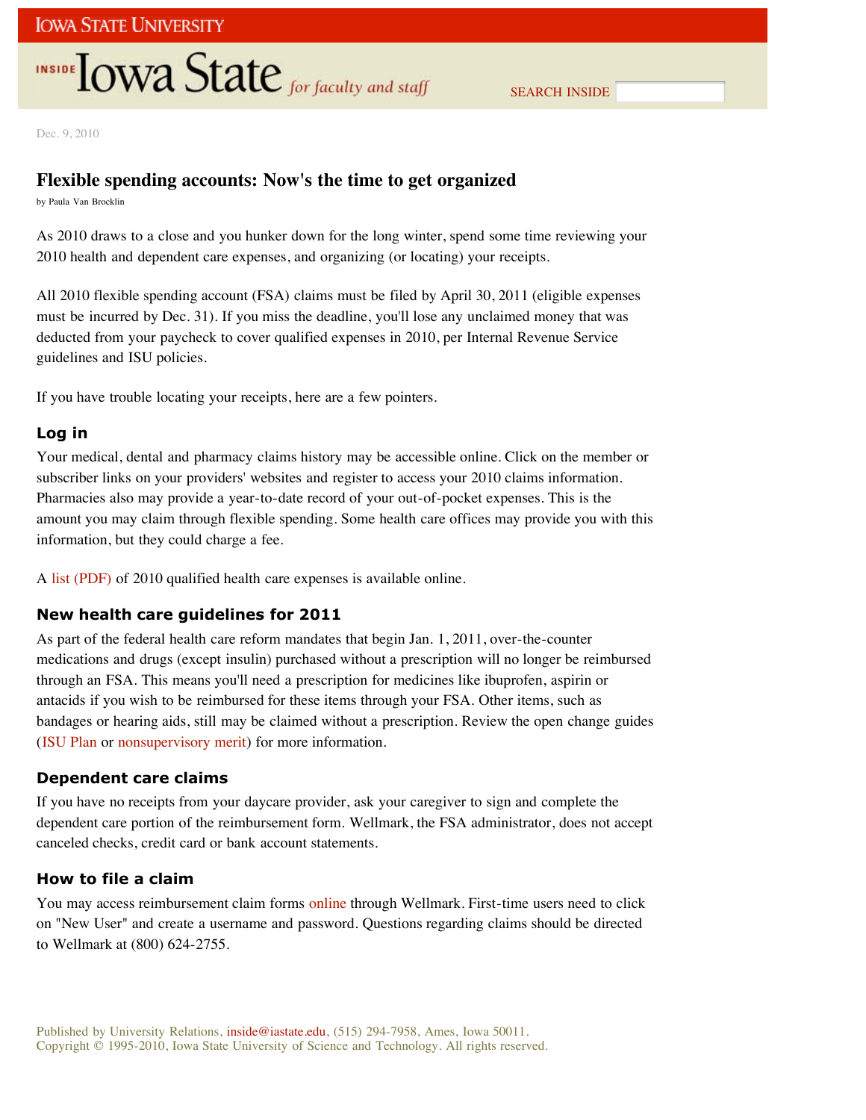## **INSIDE TOWA State** for faculty and staff

Dec. 9, 2010

### **Flexible spending accounts: Now's the time to get organized**

by Paula Van Brocklin

As 2010 draws to a close and you hunker down for the long winter, spend some time reviewing your 2010 health and dependent care expenses, and organizing (or locating) your receipts.

All 2010 flexible spending account (FSA) claims must be filed by April 30, 2011 (eligible expenses must be incurred by Dec. 31). If you miss the deadline, you'll lose any unclaimed money that was deducted from your paycheck to cover qualified expenses in 2010, per Internal Revenue Service guidelines and ISU policies.

If you have trouble locating your receipts, here are a few pointers.

#### **Log in**

Your medical, dental and pharmacy claims history may be accessible online. Click on the member or subscriber links on your providers' websites and register to access your 2010 claims information. Pharmacies also may provide a year-to-date record of your out-of-pocket expenses. This is the amount you may claim through flexible spending. Some health care offices may provide you with this information, but they could charge a fee.

A list (PDF) of 2010 qualified health care expenses is available online.

#### **New health care guidelines for 2011**

As part of the federal health care reform mandates that begin Jan. 1, 2011, over-the-counter medications and drugs (except insulin) purchased without a prescription will no longer be reimbursed through an FSA. This means you'll need a prescription for medicines like ibuprofen, aspirin or antacids if you wish to be reimbursed for these items through your FSA. Other items, such as bandages or hearing aids, still may be claimed without a prescription. Review the open change guides (ISU Plan or nonsupervisory merit) for more information.

#### **Dependent care claims**

If you have no receipts from your daycare provider, ask your caregiver to sign and complete the dependent care portion of the reimbursement form. Wellmark, the FSA administrator, does not accept canceled checks, credit card or bank account statements.

#### **How to file a claim**

You may access reimbursement claim forms online through Wellmark. First-time users need to click on "New User" and create a username and password. Questions regarding claims should be directed to Wellmark at (800) 624-2755.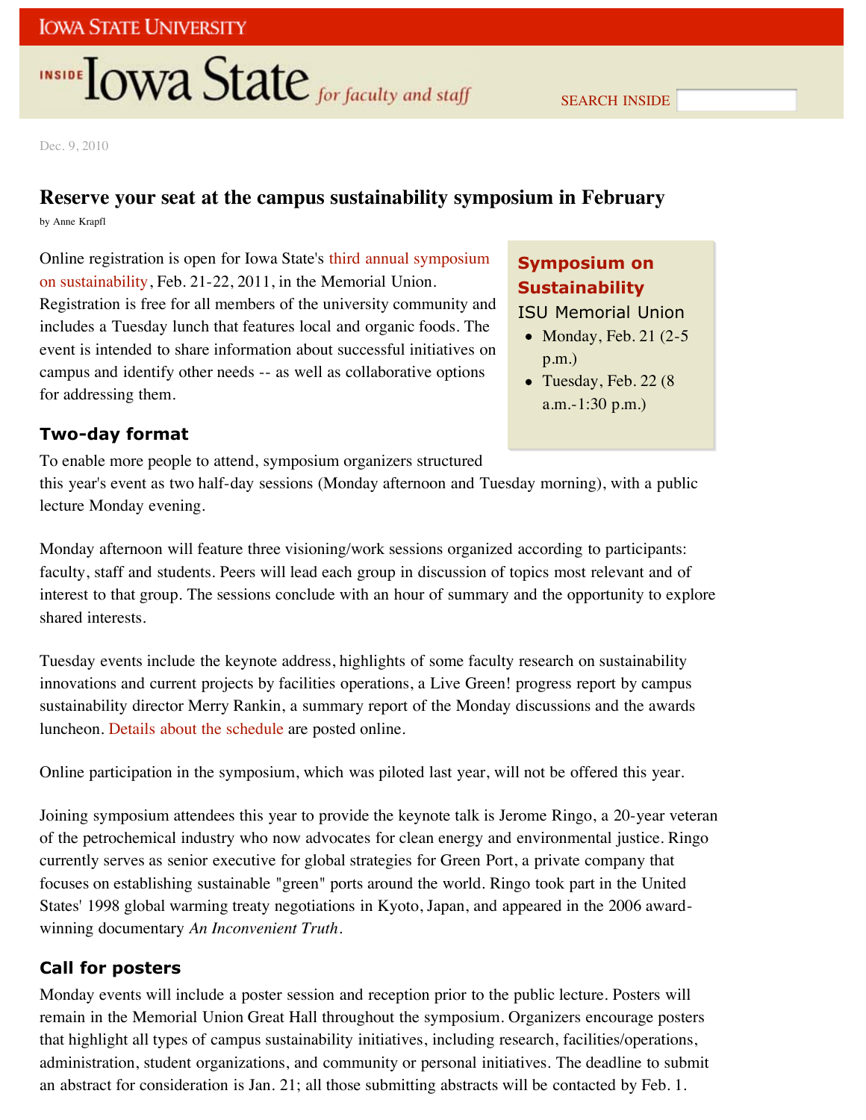# **INSIDE OWA State** for faculty and staff

SEARCH INSIDE

Dec. 9, 2010

## **Reserve your seat at the campus sustainability symposium in February**

by Anne Krapfl

Online registration is open for Iowa State's third annual symposium on sustainability, Feb. 21-22, 2011, in the Memorial Union. Registration is free for all members of the university community and includes a Tuesday lunch that features local and organic foods. The event is intended to share information about successful initiatives on campus and identify other needs -- as well as collaborative options for addressing them.

## **Symposium on Sustainability**

ISU Memorial Union

- $\bullet$  Monday, Feb. 21 (2-5) p.m.)
- Tuesday, Feb. 22 (8) a.m.-1:30 p.m.)

## **Two-day format**

To enable more people to attend, symposium organizers structured

this year's event as two half-day sessions (Monday afternoon and Tuesday morning), with a public lecture Monday evening.

Monday afternoon will feature three visioning/work sessions organized according to participants: faculty, staff and students. Peers will lead each group in discussion of topics most relevant and of interest to that group. The sessions conclude with an hour of summary and the opportunity to explore shared interests.

Tuesday events include the keynote address, highlights of some faculty research on sustainability innovations and current projects by facilities operations, a Live Green! progress report by campus sustainability director Merry Rankin, a summary report of the Monday discussions and the awards luncheon. Details about the schedule are posted online.

Online participation in the symposium, which was piloted last year, will not be offered this year.

Joining symposium attendees this year to provide the keynote talk is Jerome Ringo, a 20-year veteran of the petrochemical industry who now advocates for clean energy and environmental justice. Ringo currently serves as senior executive for global strategies for Green Port, a private company that focuses on establishing sustainable "green" ports around the world. Ringo took part in the United States' 1998 global warming treaty negotiations in Kyoto, Japan, and appeared in the 2006 awardwinning documentary *An Inconvenient Truth*.

## **Call for posters**

Monday events will include a poster session and reception prior to the public lecture. Posters will remain in the Memorial Union Great Hall throughout the symposium. Organizers encourage posters that highlight all types of campus sustainability initiatives, including research, facilities/operations, administration, student organizations, and community or personal initiatives. The deadline to submit an abstract for consideration is Jan. 21; all those submitting abstracts will be contacted by Feb. 1.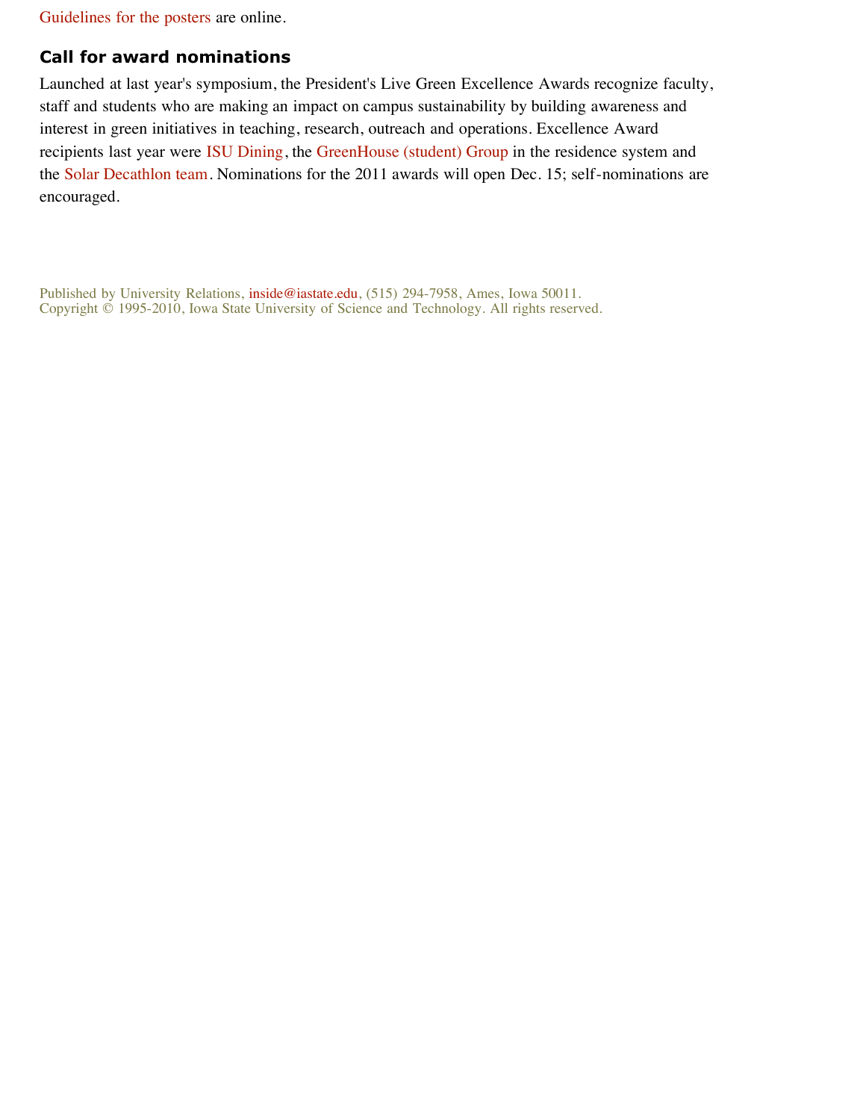Guidelines for the posters are online.

## **Call for award nominations**

Launched at last year's symposium, the President's Live Green Excellence Awards recognize faculty, staff and students who are making an impact on campus sustainability by building awareness and interest in green initiatives in teaching, research, outreach and operations. Excellence Award recipients last year were ISU Dining, the GreenHouse (student) Group in the residence system and the Solar Decathlon team. Nominations for the 2011 awards will open Dec. 15; self-nominations are encouraged.